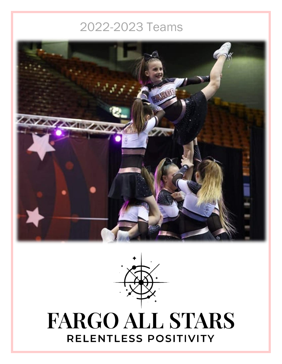# 2022-2023 Teams





# **FARGO ALL STARS** RELENTLESS POSITIVITY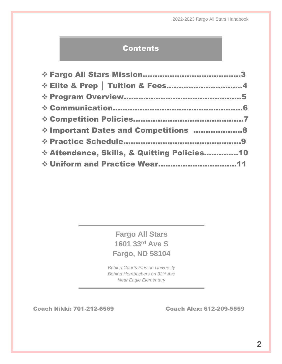#### **Contents**

| ☆ Elite & Prep   Tuition & Fees4            |  |
|---------------------------------------------|--|
|                                             |  |
|                                             |  |
|                                             |  |
| * Important Dates and Competitions 8        |  |
|                                             |  |
| * Attendance, Skills, & Quitting Policies10 |  |
| * Uniform and Practice Wear11               |  |

**Fargo All Stars 1601 33rd Ave S Fargo, ND 58104**

*Behind Courts Plus on University Behind Hornbachers on 32nd Ave Near Eagle Elementary*

Coach Nikki: 701-212-6569 Coach Alex: 612-209-5559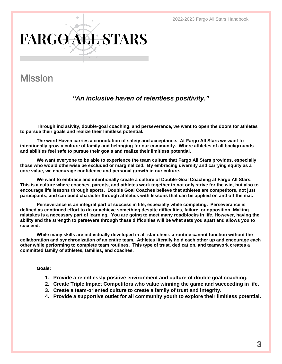2022-2023 Fargo All Stars Handbook

# **FARGO ALL STARS**

# Mission

#### *"An inclusive haven of relentless positivity."*

**Through inclusivity, double-goal coaching, and perseverance, we want to open the doors for athletes to pursue their goals and realize their limitless potential.** 

**The word Haven carries a connotation of safety and acceptance. At Fargo All Stars we want to intentionally grow a culture of family and belonging for our community. Where athletes of all backgrounds and abilities feel safe to pursue their goals and realize their limitless potential.** 

**We want everyone to be able to experience the team culture that Fargo All Stars provides, especially those who would otherwise be excluded or marginalized. By embracing diversity and carrying equity as a core value, we encourage confidence and personal growth in our culture.** 

**We want to embrace and intentionally create a culture of Double-Goal Coaching at Fargo All Stars. This is a culture where coaches, parents, and athletes work together to not only strive for the win, but also to encourage life lessons through sports. Double Goal Coaches believe that athletes are competitors, not just participants, and can build character through athletics with lessons that can be applied on and off the mat.**

**Perseverance is an integral part of success in life, especially while competing. Perseverance is defined as continued effort to do or achieve something despite difficulties, failure, or opposition. Making mistakes is a necessary part of learning. You are going to meet many roadblocks in life. However, having the ability and the strength to persevere through these difficulties will be what sets you apart and allows you to succeed.**

**While many skills are individually developed in all-star cheer, a routine cannot function without the collaboration and synchronization of an entire team. Athletes literally hold each other up and encourage each other while performing to complete team routines. This type of trust, dedication, and teamwork creates a committed family of athletes, families, and coaches.** 

#### **Goals:**

- **1. Provide a relentlessly positive environment and culture of double goal coaching.**
- **2. Create Triple Impact Competitors who value winning the game and succeeding in life.**
- **3. Create a team-oriented culture to create a family of trust and integrity.**
- **4. Provide a supportive outlet for all community youth to explore their limitless potential.**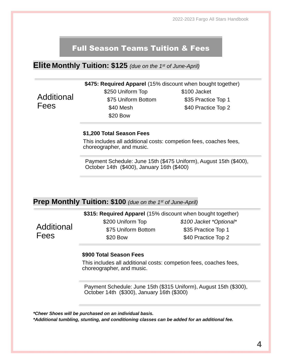2022-2023 Fargo All Stars Handbook

#### Full Season Teams Tuition & Fees

**Elite Monthly Tuition: \$125** *(due on the 1st of June-April)*

**\$475: Required Apparel** (15% discount when bought together)

Additional Fees

\$250 Uniform Top \$100 Jacket \$75 Uniform Bottom \$35 Practice Top 1 \$40 Mesh \$40 Practice Top 2 \$20 Bow

#### **\$1,200 Total Season Fees**

This includes all additional costs: competion fees, coaches fees, choreographer, and music.

Payment Schedule: June 15th (\$475 Uniform), August 15th (\$400), October 14th (\$400), January 16th (\$400)

#### **Prep Monthly Tuition: \$100** *(due on the 1st of June-April)*

|            | \$315: Required Apparel (15% discount when bought together) |                         |
|------------|-------------------------------------------------------------|-------------------------|
|            | \$200 Uniform Top                                           | \$100 Jacket *Optional* |
| Additional | \$75 Uniform Bottom                                         | \$35 Practice Top 1     |
| Fees       | \$20 Bow                                                    | \$40 Practice Top 2     |
|            |                                                             |                         |

#### **\$900 Total Season Fees**

This includes all additional costs: competion fees, coaches fees, choreographer, and music.

Payment Schedule: June 15th (\$315 Uniform), August 15th (\$300), October 14th (\$300), January 16th (\$300)

*\*Cheer Shoes will be purchased on an individual basis.* 

*\*Additional tumbling, stunting, and conditioning classes can be added for an additional fee.*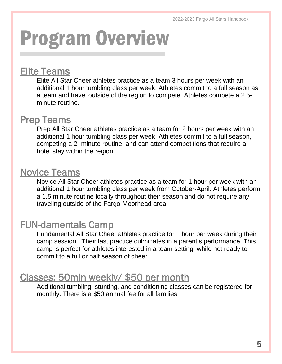# Program Overview

# Elite Teams

 $\overline{a}$ 

Elite All Star Cheer athletes practice as a team 3 hours per week with an additional 1 hour tumbling class per week. Athletes commit to a full season as a team and travel outside of the region to compete. Athletes compete a 2.5 minute routine.

# **Prep Teams**

Prep All Star Cheer athletes practice as a team for 2 hours per week with an additional 1 hour tumbling class per week. Athletes commit to a full season, competing a 2 -minute routine, and can attend competitions that require a hotel stay within the region.

# Novice Teams

Novice All Star Cheer athletes practice as a team for 1 hour per week with an additional 1 hour tumbling class per week from October-April. Athletes perform a 1.5 minute routine locally throughout their season and do not require any traveling outside of the Fargo-Moorhead area.

# FUN-damentals Camp

Fundamental All Star Cheer athletes practice for 1 hour per week during their camp session. Their last practice culminates in a parent's performance. This camp is perfect for athletes interested in a team setting, while not ready to commit to a full or half season of cheer.

# Classes: 50min weekly/ \$50 per month

Additional tumbling, stunting, and conditioning classes can be registered for monthly. There is a \$50 annual fee for all families.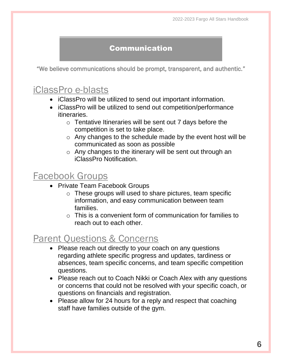#### Communication

"We believe communications should be prompt, transparent, and authentic."

# iClassPro e-blasts

- iClassPro will be utilized to send out important information.
- iClassPro will be utilized to send out competition/performance itineraries.
	- $\circ$  Tentative Itineraries will be sent out 7 days before the competition is set to take place.
	- o Any changes to the schedule made by the event host will be communicated as soon as possible
	- o Any changes to the itinerary will be sent out through an iClassPro Notification.

## Facebook Groups

- Private Team Facebook Groups
	- o These groups will used to share pictures, team specific information, and easy communication between team families.
	- $\circ$  This is a convenient form of communication for families to reach out to each other.

# Parent Questions & Concerns

- Please reach out directly to your coach on any questions regarding athlete specific progress and updates, tardiness or absences, team specific concerns, and team specific competition questions.
- Please reach out to Coach Nikki or Coach Alex with any questions or concerns that could not be resolved with your specific coach, or questions on financials and registration.
- Please allow for 24 hours for a reply and respect that coaching staff have families outside of the gym.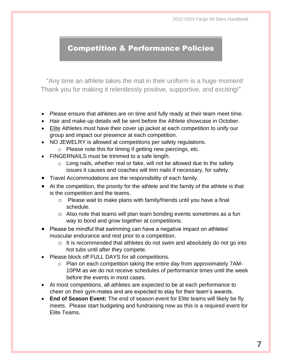#### Competition & Performance Policies

"Any time an athlete takes the mat in their uniform is a huge moment! Thank you for making it relentlessly positive, supportive, and exciting!"

- Please ensure that athletes are on time and fully ready at their team meet time.
- Hair and make-up details will be sent before the Athlete showcase in October.
- Elite Athletes must have their cover up jacket at each competition to unify our group and impact our presence at each competition.
- NO JEWELRY is allowed at competitions per safety regulations.
	- o Please note this for timing if getting new piercings, etc.
- FINGERNAILS must be trimmed to a safe length.
	- o Long nails, whether real or fake, will not be allowed due to the safety issues it causes and coaches will trim nails if necessary, for safety.
- Travel Accommodations are the responsibility of each family.
- At the competition, the priority for the athlete and the family of the athlete is that is the competition and the teams.
	- o Please wait to make plans with family/friends until you have a final schedule.
	- o Also note that teams will plan team bonding events sometimes as a fun way to bond and grow together at competitions.
- Please be mindful that swimming can have a negative impact on athletes' muscular endurance and rest prior to a competition.
	- o It is recommended that athletes do not swim and absolutely do not go into hot tubs until after they compete.
- Please block off FULL DAYS for all competitions.
	- o Plan on each competition taking the entire day from approximately 7AM-10PM as we do not receive schedules of performance times until the week before the events in most cases.
- At most competitions, all athletes are expected to be at each performance to cheer on their gym-mates and are expected to stay for their team's awards.
- **End of Season Event:** The end of season event for Elite teams will likely be fly meets. Please start budgeting and fundraising now as this is a required event for Elite Teams.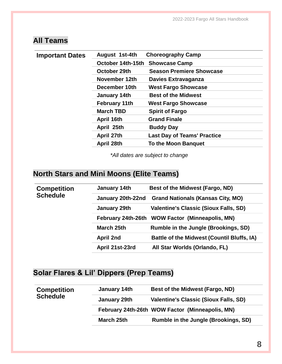## **All Teams**

| <b>Important Dates</b> | August 1st-4th       | <b>Choreography Camp</b>           |
|------------------------|----------------------|------------------------------------|
|                        | October 14th-15th    | <b>Showcase Camp</b>               |
|                        | October 29th         | <b>Season Premiere Showcase</b>    |
|                        | November 12th        | <b>Davies Extravaganza</b>         |
|                        | December 10th        | <b>West Fargo Showcase</b>         |
|                        | January 14th         | <b>Best of the Midwest</b>         |
|                        | <b>February 11th</b> | <b>West Fargo Showcase</b>         |
|                        | <b>March TBD</b>     | <b>Spirit of Fargo</b>             |
|                        | April 16th           | <b>Grand Finale</b>                |
|                        | April 25th           | <b>Buddy Day</b>                   |
|                        | April 27th           | <b>Last Day of Teams' Practice</b> |
|                        | April 28th           | <b>To the Moon Banquet</b>         |
|                        |                      |                                    |

*\*All dates are subject to change*

### **North Stars and Mini Moons (Elite Teams)**

| <b>Competition</b> | January 14th       | Best of the Midwest (Fargo, ND)                   |
|--------------------|--------------------|---------------------------------------------------|
| <b>Schedule</b>    | January 20th-22nd  | <b>Grand Nationals (Kansas City, MO)</b>          |
|                    | January 29th       | <b>Valentine's Classic (Sioux Falls, SD)</b>      |
|                    | February 24th-26th | <b>WOW Factor (Minneapolis, MN)</b>               |
|                    | March 25th         | Rumble in the Jungle (Brookings, SD)              |
|                    | <b>April 2nd</b>   | <b>Battle of the Midwest (Countil Bluffs, IA)</b> |
|                    | April 21st-23rd    | All Star Worlds (Orlando, FL)                     |
|                    |                    |                                                   |

### **Solar Flares & Lil' Dippers (Prep Teams)**

| <b>Competition</b> | January 14th                                    | Best of the Midwest (Fargo, ND)              |
|--------------------|-------------------------------------------------|----------------------------------------------|
| <b>Schedule</b>    | January 29th                                    | <b>Valentine's Classic (Sioux Falls, SD)</b> |
|                    | February 24th-26th WOW Factor (Minneapolis, MN) |                                              |
|                    | March 25th                                      | Rumble in the Jungle (Brookings, SD)         |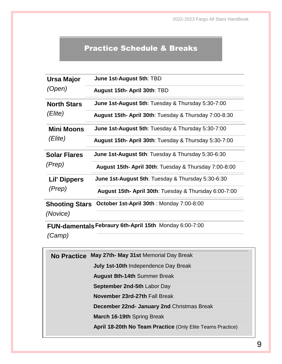#### Practice Schedule & Breaks

| <b>Ursa Major</b>                 | June 1st-August 5th: TBD                             |  |
|-----------------------------------|------------------------------------------------------|--|
| (Open)                            | August 15th- April 30th: TBD                         |  |
| <b>North Stars</b>                | June 1st-August 5th: Tuesday & Thursday 5:30-7:00    |  |
| (Elite)                           | August 15th-April 30th: Tuesday & Thursday 7:00-8:30 |  |
| <b>Mini Moons</b>                 | June 1st-August 5th: Tuesday & Thursday 5:30-7:00    |  |
| (Elite)                           | August 15th-April 30th: Tuesday & Thursday 5:30-7:00 |  |
| <b>Solar Flares</b>               | June 1st-August 5th: Tuesday & Thursday 5:30-6:30    |  |
| (Prep)                            | August 15th-April 30th: Tuesday & Thursday 7:00-8:00 |  |
| <b>Lil' Dippers</b>               | June 1st-August 5th: Tuesday & Thursday 5:30-6:30    |  |
| (Prep)                            | August 15th-April 30th: Tuesday & Thursday 6:00-7:00 |  |
| <b>Shooting Stars</b><br>(Novice) | October 1st-April 30th: Monday 7:00-8:00             |  |

**FUN-damentals Febraury 6th-April 15th** Monday 6:00-7:00

*(Camp)*

**No Practice May 27th- May 31st** Memorial Day Break **July 1st-10th** Independence Day Break **August 8th-14th** Summer Break **September 2nd-5th** Labor Day **November 23rd-27th** Fall Break **December 22nd- January 2nd** Christmas Break **March 16-19th** Spring Break **April 18-20th No Team Practice** (Only Elite Teams Practice)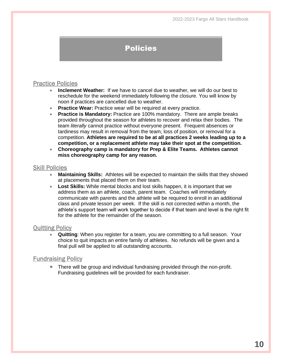#### Policies

#### Practice Policies

- **Inclement Weather:** If we have to cancel due to weather, we will do our best to reschedule for the weekend immediately following the closure. You will know by noon if practices are cancelled due to weather.
- **Practice Wear:** Practice wear will be required at every practice.
- **Practice is Mandatory:** Practice are 100% mandatory. There are ample breaks provided throughout the season for athletes to recover and relax their bodies. The team *literally* cannot practice without everyone present. Frequent absences or tardiness may result in removal from the team, loss of position, or removal for a competition. **Athletes are required to be at all practices 2 weeks leading up to a competition, or a replacement athlete may take their spot at the competition.**
- **Choreography camp is mandatory for Prep & Elite Teams. Athletes cannot miss choreography camp for any reason.**

#### Skill Policies

- **Maintaining Skills:** Athletes will be expected to maintain the skills that they showed at placements that placed them on their team.
- **Lost Skills:** While mental blocks and lost skills happen, it is important that we address them as an athlete, coach, parent team. Coaches will immediately communicate with parents and the athlete will be required to enroll in an additional class and private lesson per week. If the skill is not corrected within a month, the athlete's support team will work together to decide if that team and level is the right fit for the athlete for the remainder of the season.

#### Quitting Policy

• **Quitting**: When you register for a team, you are committing to a full season. Your choice to quit impacts an entire family of athletes. No refunds will be given and a final pull will be applied to all outstanding accounts.

#### Fundraising Policy

• There will be group and individual fundraising provided through the non-profit. Fundraising guidelines will be provided for each fundraiser.